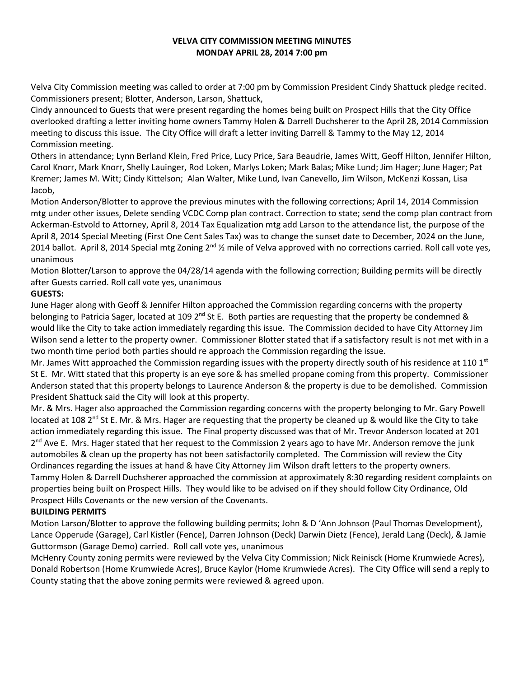### **VELVA CITY COMMISSION MEETING MINUTES MONDAY APRIL 28, 2014 7:00 pm**

Velva City Commission meeting was called to order at 7:00 pm by Commission President Cindy Shattuck pledge recited. Commissioners present; Blotter, Anderson, Larson, Shattuck,

Cindy announced to Guests that were present regarding the homes being built on Prospect Hills that the City Office overlooked drafting a letter inviting home owners Tammy Holen & Darrell Duchsherer to the April 28, 2014 Commission meeting to discuss this issue. The City Office will draft a letter inviting Darrell & Tammy to the May 12, 2014 Commission meeting.

Others in attendance; Lynn Berland Klein, Fred Price, Lucy Price, Sara Beaudrie, James Witt, Geoff Hilton, Jennifer Hilton, Carol Knorr, Mark Knorr, Shelly Lauinger, Rod Loken, Marlys Loken; Mark Balas; Mike Lund; Jim Hager; June Hager; Pat Kremer; James M. Witt; Cindy Kittelson; Alan Walter, Mike Lund, Ivan Canevello, Jim Wilson, McKenzi Kossan, Lisa Jacob,

Motion Anderson/Blotter to approve the previous minutes with the following corrections; April 14, 2014 Commission mtg under other issues, Delete sending VCDC Comp plan contract. Correction to state; send the comp plan contract from Ackerman-Estvold to Attorney, April 8, 2014 Tax Equalization mtg add Larson to the attendance list, the purpose of the April 8, 2014 Special Meeting (First One Cent Sales Tax) was to change the sunset date to December, 2024 on the June, 2014 ballot. April 8, 2014 Special mtg Zoning  $2^{nd}$  % mile of Velva approved with no corrections carried. Roll call vote yes, unanimous

Motion Blotter/Larson to approve the 04/28/14 agenda with the following correction; Building permits will be directly after Guests carried. Roll call vote yes, unanimous

# **GUESTS:**

June Hager along with Geoff & Jennifer Hilton approached the Commission regarding concerns with the property belonging to Patricia Sager, located at 109 2<sup>nd</sup> St E. Both parties are requesting that the property be condemned & would like the City to take action immediately regarding this issue. The Commission decided to have City Attorney Jim Wilson send a letter to the property owner. Commissioner Blotter stated that if a satisfactory result is not met with in a two month time period both parties should re approach the Commission regarding the issue.

Mr. James Witt approached the Commission regarding issues with the property directly south of his residence at 110  $1^{st}$ St E. Mr. Witt stated that this property is an eye sore & has smelled propane coming from this property. Commissioner Anderson stated that this property belongs to Laurence Anderson & the property is due to be demolished. Commission President Shattuck said the City will look at this property.

Mr. & Mrs. Hager also approached the Commission regarding concerns with the property belonging to Mr. Gary Powell located at 108 2<sup>nd</sup> St E. Mr. & Mrs. Hager are requesting that the property be cleaned up & would like the City to take action immediately regarding this issue. The Final property discussed was that of Mr. Trevor Anderson located at 201 2<sup>nd</sup> Ave E. Mrs. Hager stated that her request to the Commission 2 years ago to have Mr. Anderson remove the junk automobiles & clean up the property has not been satisfactorily completed. The Commission will review the City Ordinances regarding the issues at hand & have City Attorney Jim Wilson draft letters to the property owners. Tammy Holen & Darrell Duchsherer approached the commission at approximately 8:30 regarding resident complaints on properties being built on Prospect Hills. They would like to be advised on if they should follow City Ordinance, Old Prospect Hills Covenants or the new version of the Covenants.

# **BUILDING PERMITS**

Motion Larson/Blotter to approve the following building permits; John & D 'Ann Johnson (Paul Thomas Development), Lance Opperude (Garage), Carl Kistler (Fence), Darren Johnson (Deck) Darwin Dietz (Fence), Jerald Lang (Deck), & Jamie Guttormson (Garage Demo) carried. Roll call vote yes, unanimous

McHenry County zoning permits were reviewed by the Velva City Commission; Nick Reinisck (Home Krumwiede Acres), Donald Robertson (Home Krumwiede Acres), Bruce Kaylor (Home Krumwiede Acres). The City Office will send a reply to County stating that the above zoning permits were reviewed & agreed upon.